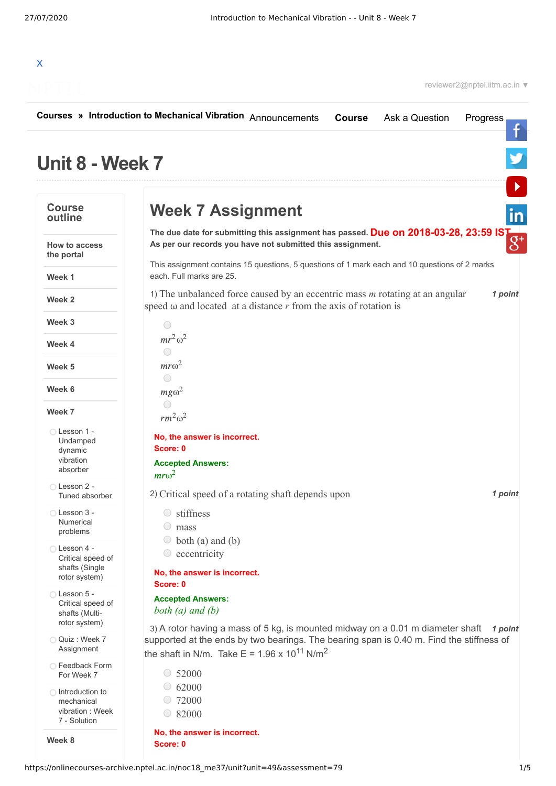

|                                                                      | Courses » Introduction to Mechanical Vibration Announcements<br>Ask a Question<br><b>Course</b><br>Progress                                                                                                                                                  |
|----------------------------------------------------------------------|--------------------------------------------------------------------------------------------------------------------------------------------------------------------------------------------------------------------------------------------------------------|
| Unit 8 - Week 7                                                      |                                                                                                                                                                                                                                                              |
| <b>Course</b><br>outline                                             | <b>Week 7 Assignment</b>                                                                                                                                                                                                                                     |
| How to access<br>the portal                                          | The due date for submitting this assignment has passed. Due on 2018-03-28, 23:59 IS<br>As per our records you have not submitted this assignment.<br>This assignment contains 15 questions, 5 questions of 1 mark each and 10 questions of 2 marks           |
| Week 1                                                               | each. Full marks are 25.                                                                                                                                                                                                                                     |
| Week 2                                                               | 1) The unbalanced force caused by an eccentric mass $m$ rotating at an angular<br>1 point<br>speed $\omega$ and located at a distance r from the axis of rotation is                                                                                         |
| Week 3                                                               | 0                                                                                                                                                                                                                                                            |
| Week 4                                                               | $mr^2\omega^2$<br>$\bigcirc$                                                                                                                                                                                                                                 |
| Week 5                                                               | $m r \omega^2$                                                                                                                                                                                                                                               |
| Week 6                                                               | ◯<br>$mg\omega^2$                                                                                                                                                                                                                                            |
| Week 7                                                               | ◯<br>$rm^2\omega^2$                                                                                                                                                                                                                                          |
| ◯ Lesson 1 -<br>Undamped<br>dynamic<br>vibration                     | No, the answer is incorrect.<br>Score: 0<br><b>Accepted Answers:</b>                                                                                                                                                                                         |
| absorber                                                             | $m r \omega^2$                                                                                                                                                                                                                                               |
| ◯ Lesson 2 -<br>Tuned absorber                                       | 2) Critical speed of a rotating shaft depends upon<br>1 point                                                                                                                                                                                                |
| ◯ Lesson 3 -<br>Numerical<br>problems                                | stiffness<br>$\bigcirc$<br>mass                                                                                                                                                                                                                              |
| ◯ Lesson 4 -<br>Critical speed of<br>shafts (Single<br>rotor system) | $\circ$ both (a) and (b)<br>eccentricity<br>$\bigcirc$<br>No, the answer is incorrect.<br>Score: 0                                                                                                                                                           |
| ◯ Lesson 5 -<br>Critical speed of<br>shafts (Multi-<br>rotor system) | <b>Accepted Answers:</b><br>both $(a)$ and $(b)$                                                                                                                                                                                                             |
| Quiz: Week 7<br>Assignment                                           | 3) A rotor having a mass of 5 kg, is mounted midway on a 0.01 m diameter shaft<br>1 point<br>supported at the ends by two bearings. The bearing span is 0.40 m. Find the stiffness of<br>the shaft in N/m. Take E = 1.96 x 10 <sup>11</sup> N/m <sup>2</sup> |
| □ Feedback Form<br>For Week 7                                        | $\circ$ 52000                                                                                                                                                                                                                                                |
| ◯ Introduction to<br>mechanical<br>vibration: Week<br>7 - Solution   | 62000<br>$\bigcirc$<br>72000<br>82000<br>$\bigcirc$                                                                                                                                                                                                          |

**No, the answer is incorrect. Score: 0**

**Week 8**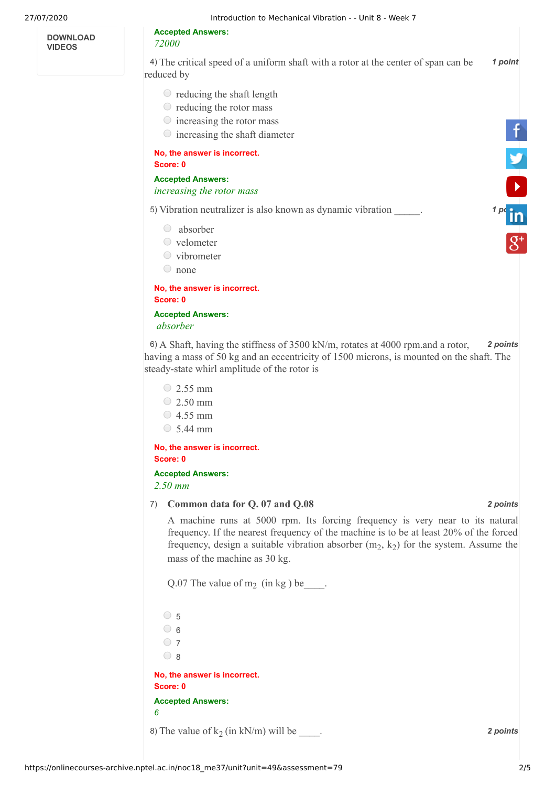**DOWNLOAD VIDEOS**

## **Accepted Answers:**

*72000* 

4) *1 point* The critical speed of a uniform shaft with a rotor at the center of span can be reduced by

- $\circ$  reducing the shaft length
- $\circ$  reducing the rotor mass
- $\circ$  increasing the rotor mass
- $\circ$  increasing the shaft diameter

## **No, the answer is incorrect. Score: 0**

**Accepted Answers:** *increasing the rotor mass* 

5) Vibration neutralizer is also known as dynamic vibration \_\_\_\_\_. **1 pc** 

- absorber
- velometer
- $\circ$  vibrometer
- none

**No, the answer is incorrect. Score: 0**

**Accepted Answers:**  *absorber*

6) *2 points* A Shaft, having the stiffness of 3500 kN/m, rotates at 4000 rpm.and a rotor, having a mass of 50 kg and an eccentricity of 1500 microns, is mounted on the shaft. The steady-state whirl amplitude of the rotor is

 $\degree$  2.55 mm  $\circ$  2.50 mm  $\circ$  4.55 mm  $\circ$  5.44 mm

**No, the answer is incorrect. Score: 0**

**Accepted Answers:** *2.50 mm* 

## 7) *2 points* **Common data for Q. 07 and Q.08**

A machine runs at 5000 rpm. Its forcing frequency is very near to its natural frequency. If the nearest frequency of the machine is to be at least 20% of the forced frequency, design a suitable vibration absorber  $(m_2, k_2)$  for the system. Assume the mass of the machine as 30 kg.

Q.07 The value of  $m_2$  (in kg) be \_\_\_\_\_.

8) The value of  $k_2$  (in kN/m) will be \_\_\_\_\_. 2 points 2 points  $\circ$  5  $\circ$  6  $\bigcirc$  7  $\circ$  8 **No, the answer is incorrect. Score: 0 Accepted Answers:** *6*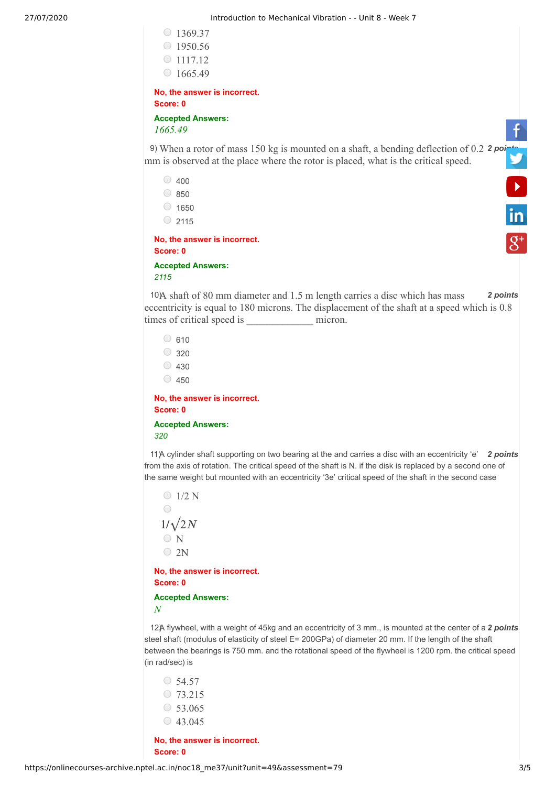| $\circ$ 1369.37                                                                                                                                                                                  |
|--------------------------------------------------------------------------------------------------------------------------------------------------------------------------------------------------|
| $\circ$ 1950.56                                                                                                                                                                                  |
| $\circ$ 1117.12                                                                                                                                                                                  |
| $\circ$ 1665.49                                                                                                                                                                                  |
| No, the answer is incorrect.                                                                                                                                                                     |
| Score: 0                                                                                                                                                                                         |
| <b>Accepted Answers:</b><br>1665.49                                                                                                                                                              |
| 9) When a rotor of mass 150 kg is mounted on a shaft, a bending deflection of 0.2 $2poi$<br>mm is observed at the place where the rotor is placed, what is the critical speed.                   |
| $\circ$ 400                                                                                                                                                                                      |
| $\circ$ 850                                                                                                                                                                                      |
| $\circ$ 1650<br>in.                                                                                                                                                                              |
| $\circ$ 2115                                                                                                                                                                                     |
| No, the answer is incorrect.<br>Score: 0                                                                                                                                                         |
| <b>Accepted Answers:</b><br>2115                                                                                                                                                                 |
| 10A shaft of 80 mm diameter and 1.5 m length carries a disc which has mass<br>2 points<br>eccentricity is equal to 180 microns. The displacement of the shaft at a speed which is 0.8<br>micron. |

```
\circ 610
  \circ 320
  \circ 430
  \circ 450
No, the answer is incorrect.
Score: 0
```
**Accepted Answers:** *320*

11) A cylinder shaft supporting on two bearing at the and carries a disc with an eccentricity 'e' 2 points from the axis of rotation. The critical speed of the shaft is N. if the disk is replaced by a second one of the same weight but mounted with an eccentricity '3e' critical speed of the shaft in the second case

 $\bigcirc$  1/2 N  $\bigcirc$  $1/\sqrt{2N}$ O<sub>N</sub>  $\bigcirc$  2N **No, the answer is incorrect. Score: 0**

**Accepted Answers:** *N*

12) A flywheel, with a weight of 45kg and an eccentricity of 3 mm., is mounted at the center of a 2 *points* steel shaft (modulus of elasticity of steel E= 200GPa) of diameter 20 mm. If the length of the shaft between the bearings is 750 mm. and the rotational speed of the flywheel is 1200 rpm. the critical speed (in rad/sec) is

 $\circ$  54.57  $\circ$  73.215 53.065  $\circ$  43.045

**No, the answer is incorrect. Score: 0**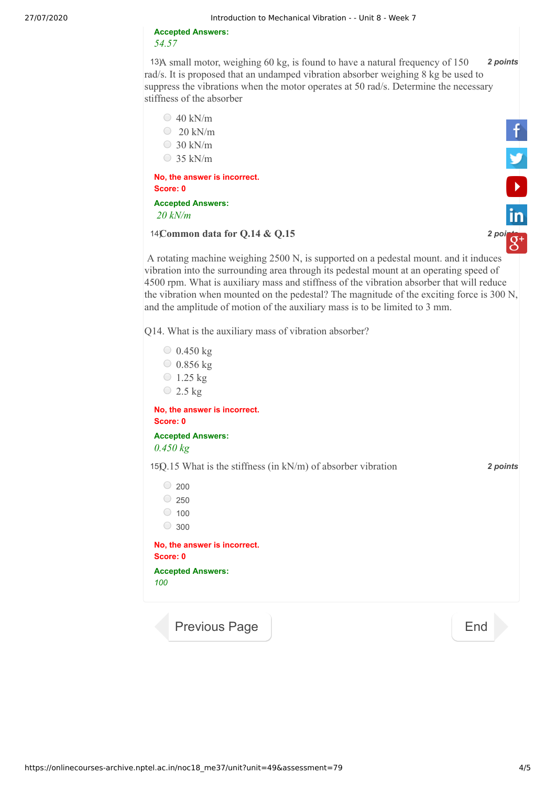## **Accepted Answers:** *54.57*

13) 13) **2** *points* **2** *points* rad/s. It is proposed that an undamped vibration absorber weighing 8 kg be used to suppress the vibrations when the motor operates at 50 rad/s. Determine the necessary stiffness of the absorber



- $\degree$  20 kN/m
- $\circ$  30 kN/m
- $\circ$  35 kN/m

**No, the answer is incorrect. Score: 0**

**Accepted Answers:**  *20 kN/m*

14) *2 [points](https://plus.google.com/u/0/+nptelhrd)* **Common data for Q.14 & Q.15**



A rotating machine weighing 2500 N, is supported on a pedestal mount. and it induces vibration into the surrounding area through its pedestal mount at an operating speed of 4500 rpm. What is auxiliary mass and stiffness of the vibration absorber that will reduce the vibration when mounted on the pedestal? The magnitude of the exciting force is 300 N, and the amplitude of motion of the auxiliary mass is to be limited to 3 mm.

Q14. What is the auxiliary mass of vibration absorber?



https://onlinecourses-archive.nptel.ac.in/noc18\_me37/unit?unit=49&assessment=79 4/5